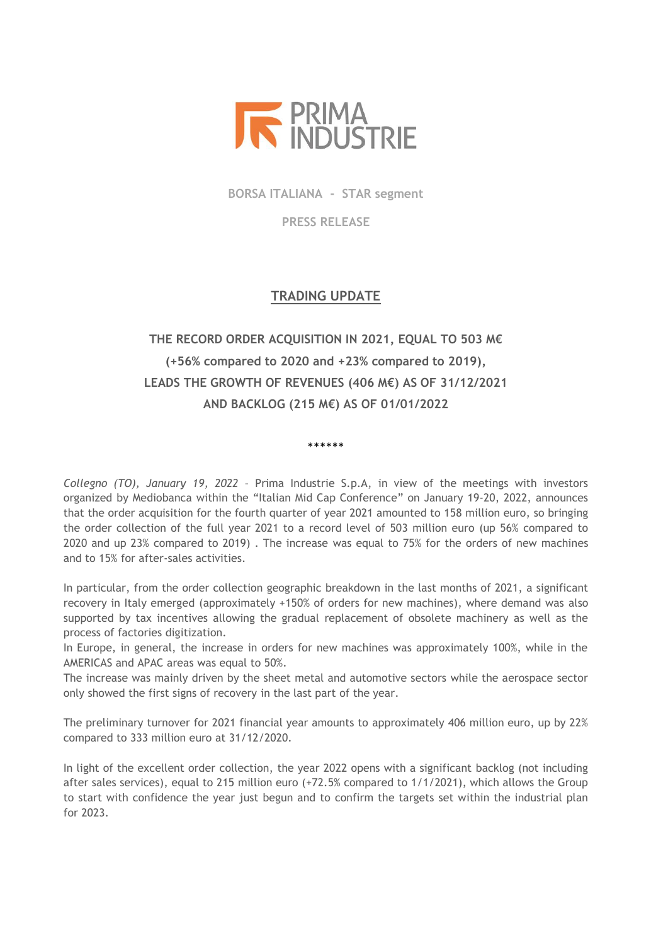

**BORSA ITALIANA - STAR segment**

**PRESS RELEASE**

## **TRADING UPDATE**

## **THE RECORD ORDER ACQUISITION IN 2021, EQUAL TO 503 M€ (+56% compared to 2020 and +23% compared to 2019), LEADS THE GROWTH OF REVENUES (406 M€) AS OF 31/12/2021 AND BACKLOG (215 M€) AS OF 01/01/2022**

\*\*\*\*\*\*

*Collegno (TO), January 19, 2022* – Prima Industrie S.p.A, in view of the meetings with investors organized by Mediobanca within the "Italian Mid Cap Conference" on January 19-20, 2022, announces that the order acquisition for the fourth quarter of year 2021 amounted to 158 million euro, so bringing the order collection of the full year 2021 to a record level of 503 million euro (up 56% compared to 2020 and up 23% compared to 2019) . The increase was equal to 75% for the orders of new machines and to 15% for after-sales activities.

In particular, from the order collection geographic breakdown in the last months of 2021, a significant recovery in Italy emerged (approximately +150% of orders for new machines), where demand was also supported by tax incentives allowing the gradual replacement of obsolete machinery as well as the process of factories digitization.

In Europe, in general, the increase in orders for new machines was approximately 100%, while in the AMERICAS and APAC areas was equal to 50%.

The increase was mainly driven by the sheet metal and automotive sectors while the aerospace sector only showed the first signs of recovery in the last part of the year.

The preliminary turnover for 2021 financial year amounts to approximately 406 million euro, up by 22% compared to 333 million euro at 31/12/2020.

In light of the excellent order collection, the year 2022 opens with a significant backlog (not including after sales services), equal to 215 million euro (+72.5% compared to 1/1/2021), which allows the Group to start with confidence the year just begun and to confirm the targets set within the industrial plan for 2023.